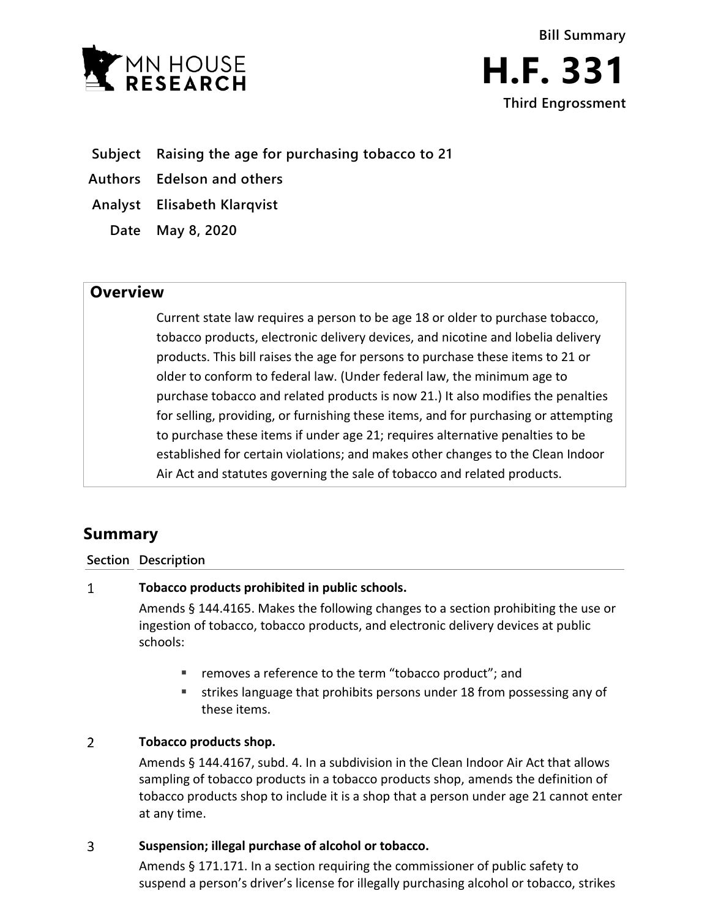



**Subject Raising the age for purchasing tobacco to 21**

**Authors Edelson and others**

**Analyst Elisabeth Klarqvist**

**Date May 8, 2020**

## **Overview**

Current state law requires a person to be age 18 or older to purchase tobacco, tobacco products, electronic delivery devices, and nicotine and lobelia delivery products. This bill raises the age for persons to purchase these items to 21 or older to conform to federal law. (Under federal law, the minimum age to purchase tobacco and related products is now 21.) It also modifies the penalties for selling, providing, or furnishing these items, and for purchasing or attempting to purchase these items if under age 21; requires alternative penalties to be established for certain violations; and makes other changes to the Clean Indoor Air Act and statutes governing the sale of tobacco and related products.

# **Summary**

### **Section Description**

#### $\mathbf{1}$ **Tobacco products prohibited in public schools.**

Amends § 144.4165. Makes the following changes to a section prohibiting the use or ingestion of tobacco, tobacco products, and electronic delivery devices at public schools:

- **F** removes a reference to the term "tobacco product"; and
- strikes language that prohibits persons under 18 from possessing any of these items.

### $\overline{2}$ **Tobacco products shop.**

Amends § 144.4167, subd. 4. In a subdivision in the Clean Indoor Air Act that allows sampling of tobacco products in a tobacco products shop, amends the definition of tobacco products shop to include it is a shop that a person under age 21 cannot enter at any time.

#### 3 **Suspension; illegal purchase of alcohol or tobacco.**

Amends § 171.171. In a section requiring the commissioner of public safety to suspend a person's driver's license for illegally purchasing alcohol or tobacco, strikes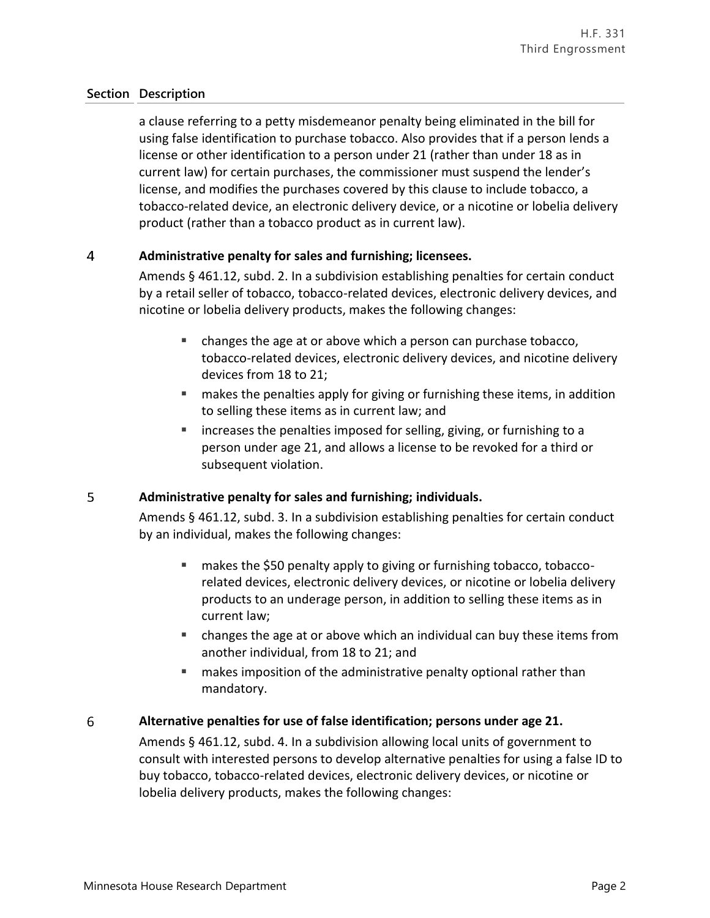a clause referring to a petty misdemeanor penalty being eliminated in the bill for using false identification to purchase tobacco. Also provides that if a person lends a license or other identification to a person under 21 (rather than under 18 as in current law) for certain purchases, the commissioner must suspend the lender's license, and modifies the purchases covered by this clause to include tobacco, a tobacco-related device, an electronic delivery device, or a nicotine or lobelia delivery product (rather than a tobacco product as in current law).

### $\overline{4}$ **Administrative penalty for sales and furnishing; licensees.**

Amends § 461.12, subd. 2. In a subdivision establishing penalties for certain conduct by a retail seller of tobacco, tobacco-related devices, electronic delivery devices, and nicotine or lobelia delivery products, makes the following changes:

- changes the age at or above which a person can purchase tobacco, tobacco-related devices, electronic delivery devices, and nicotine delivery devices from 18 to 21;
- makes the penalties apply for giving or furnishing these items, in addition to selling these items as in current law; and
- increases the penalties imposed for selling, giving, or furnishing to a person under age 21, and allows a license to be revoked for a third or subsequent violation.

### 5 **Administrative penalty for sales and furnishing; individuals.**

Amends § 461.12, subd. 3. In a subdivision establishing penalties for certain conduct by an individual, makes the following changes:

- makes the \$50 penalty apply to giving or furnishing tobacco, tobaccorelated devices, electronic delivery devices, or nicotine or lobelia delivery products to an underage person, in addition to selling these items as in current law;
- changes the age at or above which an individual can buy these items from another individual, from 18 to 21; and
- **EXT** makes imposition of the administrative penalty optional rather than mandatory.

### 6 **Alternative penalties for use of false identification; persons under age 21.**

Amends § 461.12, subd. 4. In a subdivision allowing local units of government to consult with interested persons to develop alternative penalties for using a false ID to buy tobacco, tobacco-related devices, electronic delivery devices, or nicotine or lobelia delivery products, makes the following changes: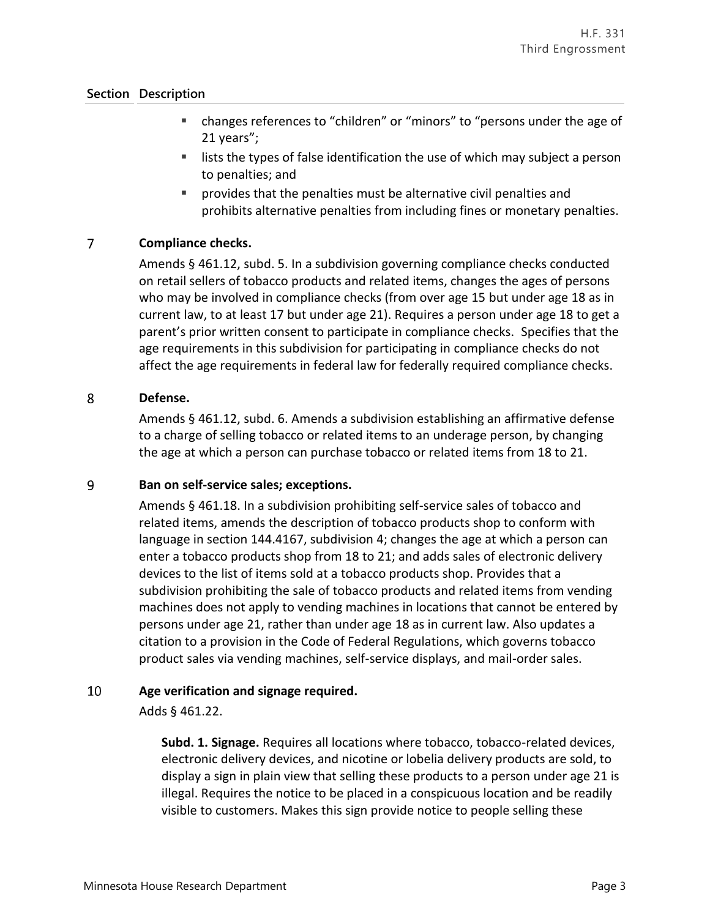- changes references to "children" or "minors" to "persons under the age of 21 years";
- **EXECT** lists the types of false identification the use of which may subject a person to penalties; and
- provides that the penalties must be alternative civil penalties and prohibits alternative penalties from including fines or monetary penalties.

### $\overline{7}$ **Compliance checks.**

Amends § 461.12, subd. 5. In a subdivision governing compliance checks conducted on retail sellers of tobacco products and related items, changes the ages of persons who may be involved in compliance checks (from over age 15 but under age 18 as in current law, to at least 17 but under age 21). Requires a person under age 18 to get a parent's prior written consent to participate in compliance checks. Specifies that the age requirements in this subdivision for participating in compliance checks do not affect the age requirements in federal law for federally required compliance checks.

#### 8 **Defense.**

Amends § 461.12, subd. 6. Amends a subdivision establishing an affirmative defense to a charge of selling tobacco or related items to an underage person, by changing the age at which a person can purchase tobacco or related items from 18 to 21.

#### 9 **Ban on self-service sales; exceptions.**

Amends § 461.18. In a subdivision prohibiting self-service sales of tobacco and related items, amends the description of tobacco products shop to conform with language in section 144.4167, subdivision 4; changes the age at which a person can enter a tobacco products shop from 18 to 21; and adds sales of electronic delivery devices to the list of items sold at a tobacco products shop. Provides that a subdivision prohibiting the sale of tobacco products and related items from vending machines does not apply to vending machines in locations that cannot be entered by persons under age 21, rather than under age 18 as in current law. Also updates a citation to a provision in the Code of Federal Regulations, which governs tobacco product sales via vending machines, self-service displays, and mail-order sales.

#### 10 **Age verification and signage required.**

Adds § 461.22.

**Subd. 1. Signage.** Requires all locations where tobacco, tobacco-related devices, electronic delivery devices, and nicotine or lobelia delivery products are sold, to display a sign in plain view that selling these products to a person under age 21 is illegal. Requires the notice to be placed in a conspicuous location and be readily visible to customers. Makes this sign provide notice to people selling these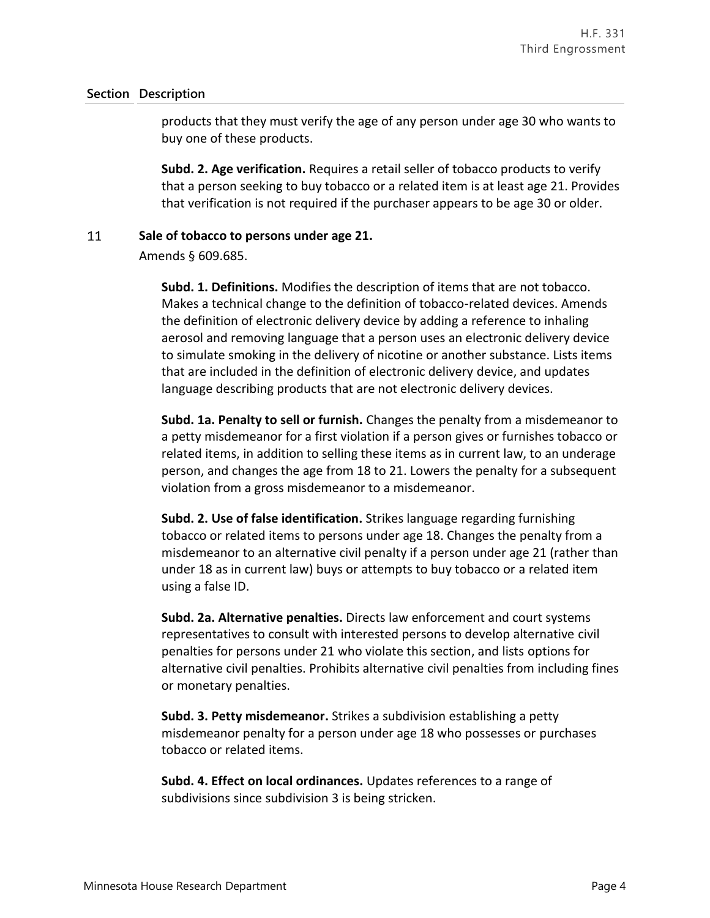products that they must verify the age of any person under age 30 who wants to buy one of these products.

**Subd. 2. Age verification.** Requires a retail seller of tobacco products to verify that a person seeking to buy tobacco or a related item is at least age 21. Provides that verification is not required if the purchaser appears to be age 30 or older.

#### 11 **Sale of tobacco to persons under age 21.**

Amends § 609.685.

**Subd. 1. Definitions.** Modifies the description of items that are not tobacco. Makes a technical change to the definition of tobacco-related devices. Amends the definition of electronic delivery device by adding a reference to inhaling aerosol and removing language that a person uses an electronic delivery device to simulate smoking in the delivery of nicotine or another substance. Lists items that are included in the definition of electronic delivery device, and updates language describing products that are not electronic delivery devices.

**Subd. 1a. Penalty to sell or furnish.** Changes the penalty from a misdemeanor to a petty misdemeanor for a first violation if a person gives or furnishes tobacco or related items, in addition to selling these items as in current law, to an underage person, and changes the age from 18 to 21. Lowers the penalty for a subsequent violation from a gross misdemeanor to a misdemeanor.

**Subd. 2. Use of false identification.** Strikes language regarding furnishing tobacco or related items to persons under age 18. Changes the penalty from a misdemeanor to an alternative civil penalty if a person under age 21 (rather than under 18 as in current law) buys or attempts to buy tobacco or a related item using a false ID.

**Subd. 2a. Alternative penalties.** Directs law enforcement and court systems representatives to consult with interested persons to develop alternative civil penalties for persons under 21 who violate this section, and lists options for alternative civil penalties. Prohibits alternative civil penalties from including fines or monetary penalties.

**Subd. 3. Petty misdemeanor.** Strikes a subdivision establishing a petty misdemeanor penalty for a person under age 18 who possesses or purchases tobacco or related items.

**Subd. 4. Effect on local ordinances.** Updates references to a range of subdivisions since subdivision 3 is being stricken.